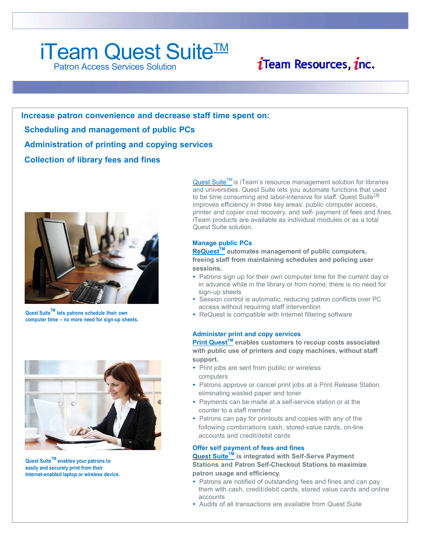# iTeam Quest Suite<sup>™</sup>

Patron Access Services Solution



**Increase patron convenience and decrease staff time spent on: Scheduling and management of public PCs Administration of printing and copying services Collection of library fees and fines**



**Quest SuiteTM lets patrons schedule their own computer time – no more need for sign-up sheets.**



**Quest SuiteTM enables your patrons to easily and securely print from their Internet-enabled laptop or wireless device.**

Quest Suite™ is iTeam's resource management solution for libraries and universities. Quest Suite lets you automate functions that used to be time consuming and labor-intensive for staff. Quest Suite $\frac{TM}{T}$ improves efficiency in three key areas: public computer access, printer and copier cost recovery, and self- payment of fees and fines. iTeam products are available as individual modules or as a total Quest Suite solution.

#### **Manage public PCs**

**ReQuestTM automates management of public computers, freeing staff from maintaining schedules and policing user sessions.**

- Patrons sign up for their own computer time for the current day or in advance while in the library or from home; there is no need for sign-up sheets
- Session control is automatic, reducing patron conflicts over PC access without requiring staff intervention
- ReQuest is compatible with Internet filtering software

#### **Administer print and copy services**

**Print QuestTM enables customers to recoup costs associated with public use of printers and copy machines, without staff support.**

- Print jobs are sent from public or wireless computers
- Patrons approve or cancel print jobs at a Print Release Station, eliminating wasted paper and toner
- Payments can be made at a self-service station or at the counter to a staff member
- Patrons can pay for printouts and copies with any of the following combinations cash, stored-value cards, on-line accounts and credit/debit cards

#### **Offer self payment of fees and fines**

**Quest SuiteTM is integrated with Self-Serve Payment Stations and Patron Self-Checkout Stations to maximize patron usage and efficiency.**

- Patrons are notified of outstanding fees and fines and can pay them with cash, credit/debit cards, stored value cards and online accounts
- Audits of all transactions are available from Quest Suite